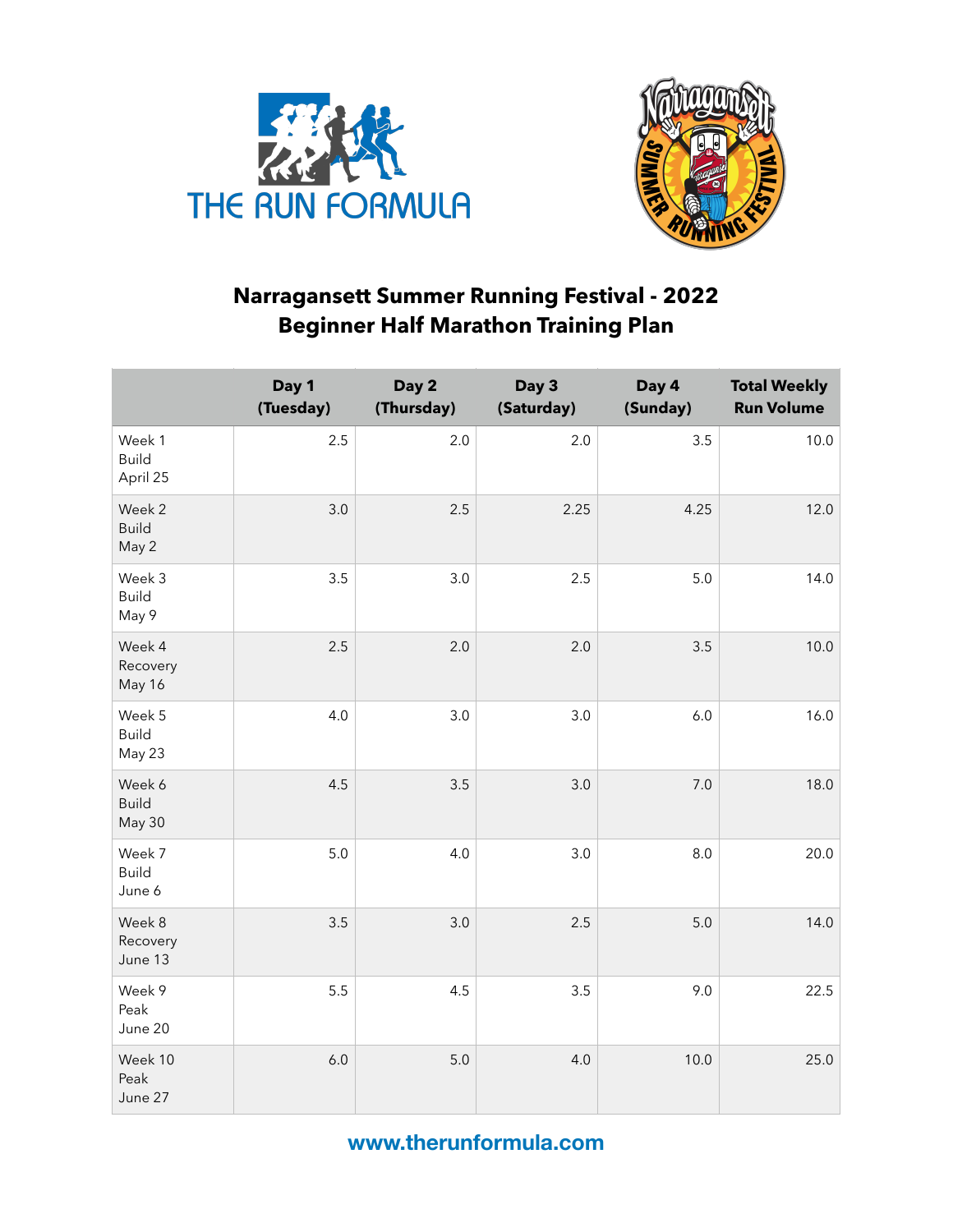



## **Narragansett Summer Running Festival - 2022 Beginner Half Marathon Training Plan**

|                                    | Day 1<br>(Tuesday) | Day 2<br>(Thursday) | Day 3<br>(Saturday) | Day 4<br>(Sunday) | <b>Total Weekly</b><br><b>Run Volume</b> |
|------------------------------------|--------------------|---------------------|---------------------|-------------------|------------------------------------------|
| Week 1<br><b>Build</b><br>April 25 | 2.5                | 2.0                 | 2.0                 | 3.5               | 10.0                                     |
| Week 2<br><b>Build</b><br>May 2    | 3.0                | 2.5                 | 2.25                | 4.25              | 12.0                                     |
| Week 3<br><b>Build</b><br>May 9    | 3.5                | 3.0                 | 2.5                 | 5.0               | 14.0                                     |
| Week 4<br>Recovery<br>May 16       | 2.5                | 2.0                 | 2.0                 | 3.5               | 10.0                                     |
| Week 5<br><b>Build</b><br>May 23   | 4.0                | 3.0                 | 3.0                 | 6.0               | 16.0                                     |
| Week 6<br><b>Build</b><br>May 30   | 4.5                | 3.5                 | $3.0\,$             | $7.0\,$           | 18.0                                     |
| Week 7<br><b>Build</b><br>June 6   | 5.0                | 4.0                 | 3.0                 | 8.0               | 20.0                                     |
| Week 8<br>Recovery<br>June 13      | 3.5                | 3.0                 | 2.5                 | 5.0               | 14.0                                     |
| Week 9<br>Peak<br>June 20          | 5.5                | 4.5                 | 3.5                 | 9.0               | 22.5                                     |
| Week 10<br>Peak<br>June 27         | $6.0$              | 5.0                 | 4.0                 | 10.0              | 25.0                                     |

**www.therunformula.com**